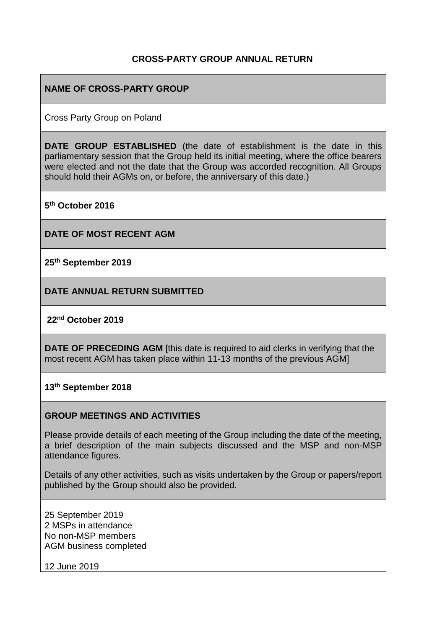### **CROSS-PARTY GROUP ANNUAL RETURN**

#### **NAME OF CROSS-PARTY GROUP**

Cross Party Group on Poland

**DATE GROUP ESTABLISHED** (the date of establishment is the date in this parliamentary session that the Group held its initial meeting, where the office bearers were elected and not the date that the Group was accorded recognition. All Groups should hold their AGMs on, or before, the anniversary of this date.)

**5 th October 2016**

**DATE OF MOST RECENT AGM**

**25th September 2019**

**DATE ANNUAL RETURN SUBMITTED**

#### **22nd October 2019**

**DATE OF PRECEDING AGM** [this date is required to aid clerks in verifying that the most recent AGM has taken place within 11-13 months of the previous AGM]

**13th September 2018**

#### **GROUP MEETINGS AND ACTIVITIES**

Please provide details of each meeting of the Group including the date of the meeting, a brief description of the main subjects discussed and the MSP and non-MSP attendance figures.

Details of any other activities, such as visits undertaken by the Group or papers/report published by the Group should also be provided.

25 September 2019 2 MSPs in attendance No non-MSP members AGM business completed

12 June 2019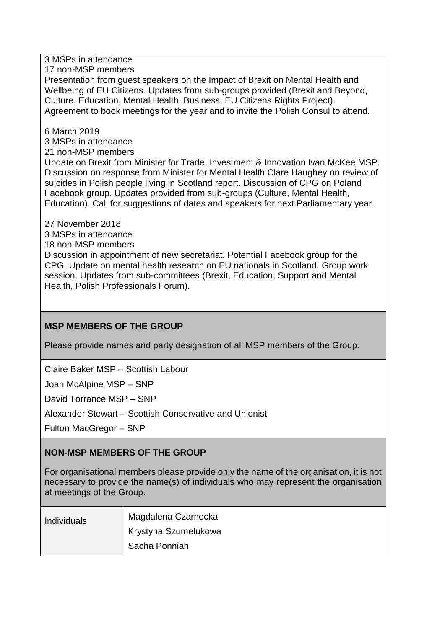3 MSPs in attendance

17 non-MSP members

Presentation from guest speakers on the Impact of Brexit on Mental Health and Wellbeing of EU Citizens. Updates from sub-groups provided (Brexit and Beyond, Culture, Education, Mental Health, Business, EU Citizens Rights Project). Agreement to book meetings for the year and to invite the Polish Consul to attend.

6 March 2019

3 MSPs in attendance

21 non-MSP members

Update on Brexit from Minister for Trade, Investment & Innovation Ivan McKee MSP. Discussion on response from Minister for Mental Health Clare Haughey on review of suicides in Polish people living in Scotland report. Discussion of CPG on Poland Facebook group. Updates provided from sub-groups (Culture, Mental Health, Education). Call for suggestions of dates and speakers for next Parliamentary year.

27 November 2018

3 MSPs in attendance

18 non-MSP members

Discussion in appointment of new secretariat. Potential Facebook group for the CPG. Update on mental health research on EU nationals in Scotland. Group work session. Updates from sub-committees (Brexit, Education, Support and Mental Health, Polish Professionals Forum).

# **MSP MEMBERS OF THE GROUP**

Please provide names and party designation of all MSP members of the Group.

Claire Baker MSP – Scottish Labour

Joan McAlpine MSP – SNP

David Torrance MSP – SNP

Alexander Stewart – Scottish Conservative and Unionist

Fulton MacGregor – SNP

# **NON-MSP MEMBERS OF THE GROUP**

For organisational members please provide only the name of the organisation, it is not necessary to provide the name(s) of individuals who may represent the organisation at meetings of the Group.

| <b>Individuals</b> | Magdalena Czarnecka  |
|--------------------|----------------------|
|                    | Krystyna Szumelukowa |
|                    | Sacha Ponniah        |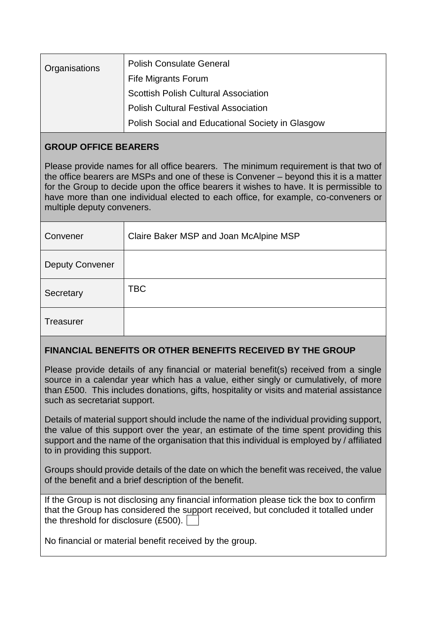| <b>Organisations</b> | <b>Polish Consulate General</b>                  |
|----------------------|--------------------------------------------------|
|                      | Fife Migrants Forum                              |
|                      | <b>Scottish Polish Cultural Association</b>      |
|                      | <b>Polish Cultural Festival Association</b>      |
|                      | Polish Social and Educational Society in Glasgow |

## **GROUP OFFICE BEARERS**

Please provide names for all office bearers. The minimum requirement is that two of the office bearers are MSPs and one of these is Convener – beyond this it is a matter for the Group to decide upon the office bearers it wishes to have. It is permissible to have more than one individual elected to each office, for example, co-conveners or multiple deputy conveners.

| Convener               | Claire Baker MSP and Joan McAlpine MSP |
|------------------------|----------------------------------------|
| <b>Deputy Convener</b> |                                        |
| Secretary              | <b>TBC</b>                             |
| Treasurer              |                                        |

### **FINANCIAL BENEFITS OR OTHER BENEFITS RECEIVED BY THE GROUP**

Please provide details of any financial or material benefit(s) received from a single source in a calendar year which has a value, either singly or cumulatively, of more than £500. This includes donations, gifts, hospitality or visits and material assistance such as secretariat support.

Details of material support should include the name of the individual providing support, the value of this support over the year, an estimate of the time spent providing this support and the name of the organisation that this individual is employed by / affiliated to in providing this support.

Groups should provide details of the date on which the benefit was received, the value of the benefit and a brief description of the benefit.

If the Group is not disclosing any financial information please tick the box to confirm that the Group has considered the support received, but concluded it totalled under the threshold for disclosure (£500).

No financial or material benefit received by the group.